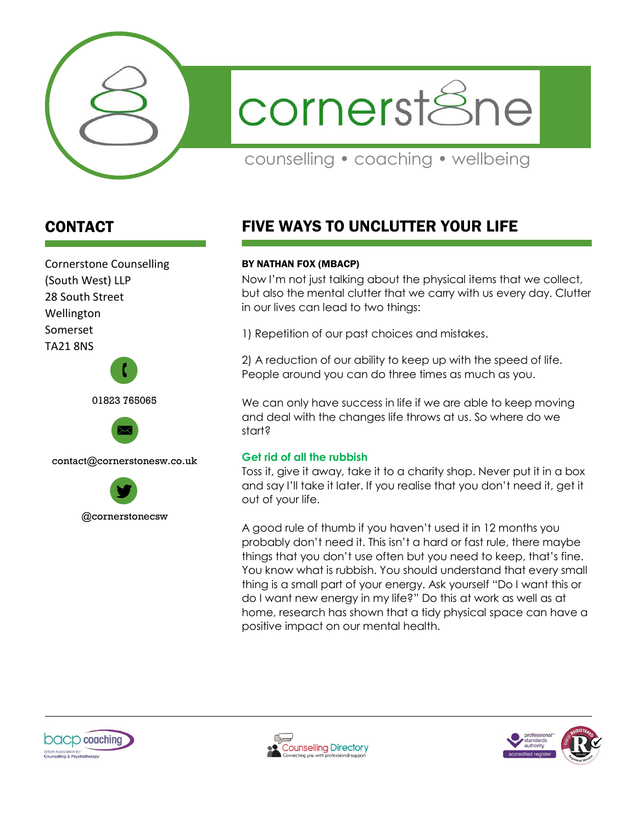

cornerst<sup>8</sup>ne

counselling • coaching • wellbeing

# CONTACT

Cornerstone Counselling (South West) LLP 28 South Street Wellington Somerset TA21 8NS





contact@cornerstonesw.co.uk



# FIVE WAYS TO UNCLUTTER YOUR LIFE

#### BY NATHAN FOX (MBACP)

Now I'm not just talking about the physical items that we collect, but also the mental clutter that we carry with us every day. Clutter in our lives can lead to two things:

1) Repetition of our past choices and mistakes.

2) A reduction of our ability to keep up with the speed of life. People around you can do three times as much as you.

We can only have success in life if we are able to keep moving and deal with the changes life throws at us. So where do we start?

#### **Get rid of all the rubbish**

Toss it, give it away, take it to a charity shop. Never put it in a box and say I'll take it later. If you realise that you don't need it, get it out of your life.

A good rule of thumb if you haven't used it in 12 months you probably don't need it. This isn't a hard or fast rule, there maybe things that you don't use often but you need to keep, that's fine. You know what is rubbish. You should understand that every small thing is a small part of your energy. Ask yourself "Do I want this or do I want new energy in my life?" Do this at work as well as at home, research has shown that a tidy physical space can have a positive impact on our mental health.





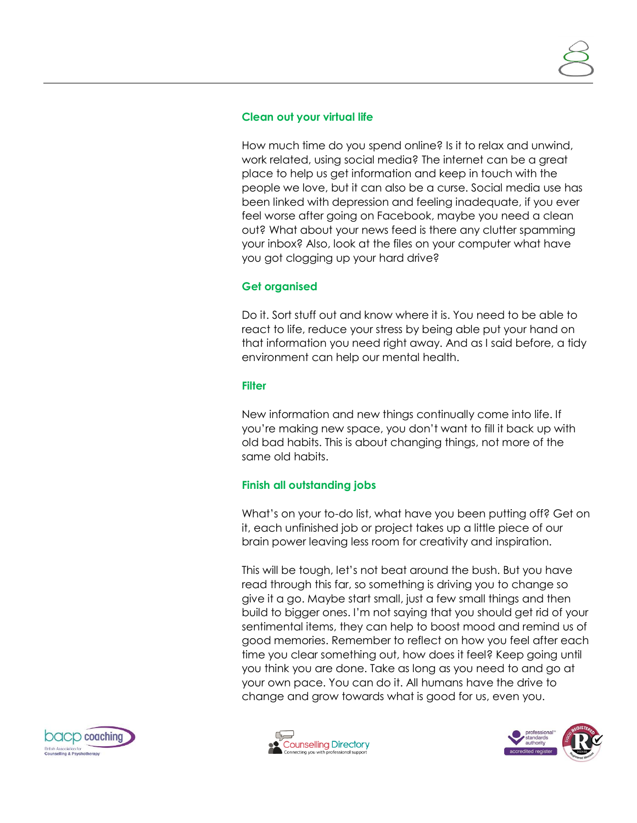#### **Clean out your virtual life**

How much time do you spend online? Is it to relax and unwind, work related, using social media? The internet can be a great place to help us get information and keep in touch with the people we love, but it can also be a curse. Social media use has been linked with depression and feeling inadequate, if you ever feel worse after going on Facebook, maybe you need a clean out? What about your news feed is there any clutter spamming your inbox? Also, look at the files on your computer what have you got clogging up your hard drive?

### **Get organised**

Do it. Sort stuff out and know where it is. You need to be able to react to life, reduce your stress by being able put your hand on that information you need right away. And as I said before, a tidy environment can help our mental health.

#### **Filter**

New information and new things continually come into life. If you're making new space, you don't want to fill it back up with old bad habits. This is about changing things, not more of the same old habits.

## **Finish all outstanding jobs**

What's on your to-do list, what have you been putting off? Get on it, each unfinished job or project takes up a little piece of our brain power leaving less room for creativity and inspiration.

This will be tough, let's not beat around the bush. But you have read through this far, so something is driving you to change so give it a go. Maybe start small, just a few small things and then build to bigger ones. I'm not saying that you should get rid of your sentimental items, they can help to boost mood and remind us of good memories. Remember to reflect on how you feel after each time you clear something out, how does it feel? Keep going until you think you are done. Take as long as you need to and go at your own pace. You can do it. All humans have the drive to change and grow towards what is good for us, even you.